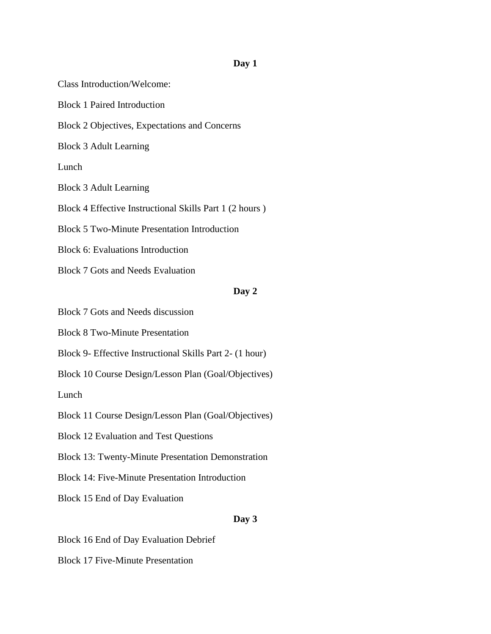## **Day 1**

Class Introduction/Welcome: Block 1 Paired Introduction Block 2 Objectives, Expectations and Concerns Block 3 Adult Learning Lunch Block 3 Adult Learning Block 4 Effective Instructional Skills Part 1 (2 hours ) Block 5 Two-Minute Presentation Introduction Block 6: Evaluations Introduction Block 7 Gots and Needs Evaluation **Day 2** Block 7 Gots and Needs discussion Block 8 Two-Minute Presentation Block 9- Effective Instructional Skills Part 2- (1 hour) Block 10 Course Design/Lesson Plan (Goal/Objectives) Lunch

Block 11 Course Design/Lesson Plan (Goal/Objectives)

Block 12 Evaluation and Test Questions

Block 13: Twenty-Minute Presentation Demonstration

Block 14: Five-Minute Presentation Introduction

Block 15 End of Day Evaluation

## **Day 3**

Block 16 End of Day Evaluation Debrief

Block 17 Five-Minute Presentation